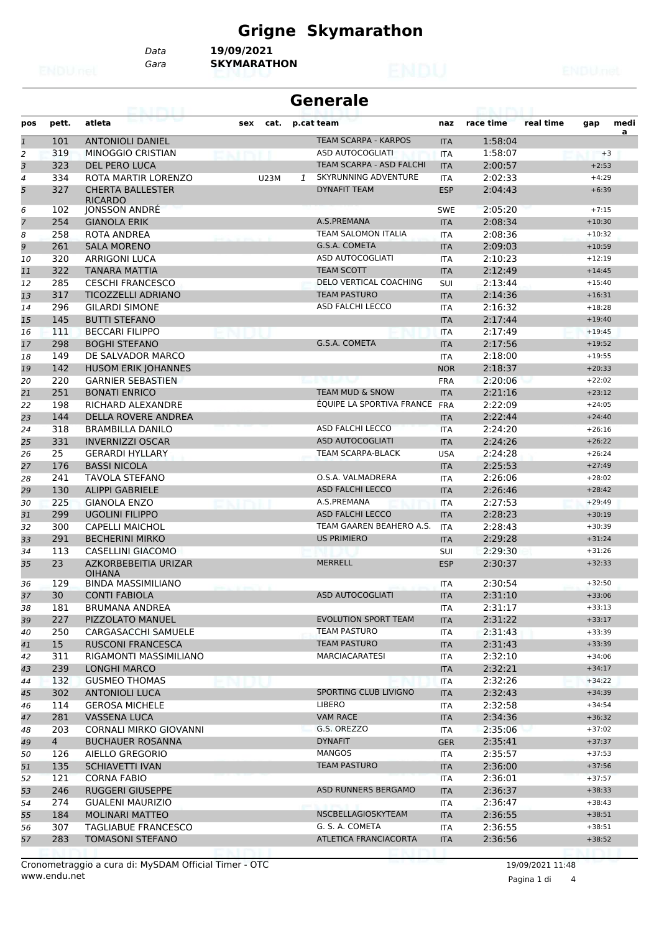## **Grigne Skymarathon**

*Data* **19/09/2021**

*Gara* **SKYMARATHON**

|                |                | 63. I KY I                             |             |      |   | <b>Generale</b>                 |            |           |           |          |           |
|----------------|----------------|----------------------------------------|-------------|------|---|---------------------------------|------------|-----------|-----------|----------|-----------|
| pos            | pett.          | atleta                                 | sex         | cat. |   | p.cat team                      | naz        | race time | real time | gap      | medi<br>a |
| $\mathbf{1}$   | 101            | <b>ANTONIOLI DANIEL</b>                |             |      |   | <b>TEAM SCARPA - KARPOS</b>     | <b>ITA</b> | 1:58:04   |           |          |           |
| $\overline{2}$ | 319            | <b>MINOGGIO CRISTIAN</b>               |             |      |   | ASD AUTOCOGLIATI                | <b>ITA</b> | 1:58:07   |           | $+3$     |           |
| 3              | 323            | <b>DEL PERO LUCA</b>                   |             |      |   | <b>TEAM SCARPA - ASD FALCHI</b> | <b>ITA</b> | 2:00:57   |           | $+2:53$  |           |
| $\overline{4}$ | 334            | ROTA MARTIR LORENZO                    | <b>U23M</b> |      | 1 | <b>SKYRUNNING ADVENTURE</b>     | <b>ITA</b> | 2:02:33   |           | $+4:29$  |           |
| 5              | 327            | <b>CHERTA BALLESTER</b>                |             |      |   | <b>DYNAFIT TEAM</b>             | <b>ESP</b> | 2:04:43   |           | $+6:39$  |           |
| 6              | 102            | <b>RICARDO</b><br><b>JONSSON ANDRE</b> |             |      |   |                                 | <b>SWE</b> | 2:05:20   |           | $+7:15$  |           |
| $\overline{7}$ | 254            | <b>GIANOLA ERIK</b>                    |             |      |   | A.S.PREMANA                     | <b>ITA</b> | 2:08:34   |           | $+10:30$ |           |
| 8              | 258            | ROTA ANDREA                            |             |      |   | <b>TEAM SALOMON ITALIA</b>      | <b>ITA</b> | 2:08:36   |           | $+10:32$ |           |
| 9              | 261            | <b>SALA MORENO</b>                     |             |      |   | G.S.A. COMETA                   | <b>ITA</b> | 2:09:03   |           | $+10:59$ |           |
| 10             | 320            | <b>ARRIGONI LUCA</b>                   |             |      |   | ASD AUTOCOGLIATI                | <b>ITA</b> | 2:10:23   |           | $+12:19$ |           |
| 11             | 322            | <b>TANARA MATTIA</b>                   |             |      |   | <b>TEAM SCOTT</b>               | <b>ITA</b> | 2:12:49   |           | $+14:45$ |           |
| 12             | 285            | <b>CESCHI FRANCESCO</b>                |             |      |   | DELO VERTICAL COACHING          | SUI        | 2:13:44   |           | $+15:40$ |           |
| 13             | 317            | <b>TICOZZELLI ADRIANO</b>              |             |      |   | <b>TEAM PASTURO</b>             | <b>ITA</b> | 2:14:36   |           | $+16:31$ |           |
| 14             | 296            | <b>GILARDI SIMONE</b>                  |             |      |   | ASD FALCHI LECCO                | <b>ITA</b> | 2:16:32   |           | $+18:28$ |           |
| 15             | 145            | <b>BUTTI STEFANO</b>                   |             |      |   |                                 | <b>ITA</b> | 2:17:44   |           | $+19:40$ |           |
| 16             | 111            | <b>BECCARI FILIPPO</b>                 |             |      |   |                                 | <b>ITA</b> | 2:17:49   |           | $+19:45$ |           |
| 17             | 298            | <b>BOGHI STEFANO</b>                   |             |      |   | G.S.A. COMETA                   | <b>ITA</b> | 2:17:56   |           | $+19:52$ |           |
| 18             | 149            | DE SALVADOR MARCO                      |             |      |   |                                 | <b>ITA</b> | 2:18:00   |           | $+19:55$ |           |
| 19             | 142            | HUSOM ERIK JOHANNES                    |             |      |   |                                 | <b>NOR</b> | 2:18:37   |           | $+20:33$ |           |
| 20             | 220            | <b>GARNIER SEBASTIEN</b>               |             |      |   |                                 | <b>FRA</b> | 2:20:06   |           | $+22:02$ |           |
| 21             | 251            | <b>BONATI ENRICO</b>                   |             |      |   | <b>TEAM MUD &amp; SNOW</b>      | <b>ITA</b> | 2:21:16   |           | $+23:12$ |           |
| 22             | 198            | RICHARD ALEXANDRE                      |             |      |   | ÉQUIPE LA SPORTIVA FRANCE       | <b>FRA</b> | 2:22:09   |           | $+24:05$ |           |
| 23             | 144            | <b>DELLA ROVERE ANDREA</b>             |             |      |   |                                 | <b>ITA</b> | 2:22:44   |           | $+24:40$ |           |
| 24             | 318            | <b>BRAMBILLA DANILO</b>                |             |      |   | ASD FALCHI LECCO                | <b>ITA</b> | 2:24:20   |           | $+26:16$ |           |
| 25             | 331            | <b>INVERNIZZI OSCAR</b>                |             |      |   | <b>ASD AUTOCOGLIATI</b>         | <b>ITA</b> | 2:24:26   |           | $+26:22$ |           |
| 26             | 25             | <b>GERARDI HYLLARY</b>                 |             |      |   | <b>TEAM SCARPA-BLACK</b>        | <b>USA</b> | 2:24:28   |           | $+26:24$ |           |
| 27             | 176            | <b>BASSI NICOLA</b>                    |             |      |   |                                 | <b>ITA</b> | 2:25:53   |           | $+27:49$ |           |
| 28             | 241            | <b>TAVOLA STEFANO</b>                  |             |      |   | O.S.A. VALMADRERA               | <b>ITA</b> | 2:26:06   |           | $+28:02$ |           |
| 29             | 130            | <b>ALIPPI GABRIELE</b>                 |             |      |   | <b>ASD FALCHI LECCO</b>         | <b>ITA</b> | 2:26:46   |           | $+28:42$ |           |
| 30             | 225            | <b>GIANOLA ENZO</b>                    |             |      |   | A.S.PREMANA                     | <b>ITA</b> | 2:27:53   |           | $+29:49$ |           |
| 31             | 299            | <b>UGOLINI FILIPPO</b>                 |             |      |   | <b>ASD FALCHI LECCO</b>         | <b>ITA</b> | 2:28:23   |           | $+30:19$ |           |
| 32             | 300            | <b>CAPELLI MAICHOL</b>                 |             |      |   | TEAM GAAREN BEAHERO A.S.        | <b>ITA</b> | 2:28:43   |           | $+30:39$ |           |
| 33             | 291            | <b>BECHERINI MIRKO</b>                 |             |      |   | <b>US PRIMIERO</b>              | <b>ITA</b> | 2:29:28   |           | $+31:24$ |           |
| 34             | 113            | <b>CASELLINI GIACOMO</b>               |             |      |   |                                 | <b>SUI</b> | 2:29:30   |           | $+31:26$ |           |
| 35             | 23             | AZKORBEBEITIA URIZAR                   |             |      |   | <b>MERRELL</b>                  | <b>ESP</b> | 2:30:37   |           | $+32:33$ |           |
|                |                | <b>OIHANA</b>                          |             |      |   |                                 |            |           |           |          |           |
| 36             | 129            | <b>BINDA MASSIMILIANO</b>              |             |      |   |                                 | <b>ITA</b> | 2:30:54   |           | $+32:50$ |           |
| 37             | 30             | <b>CONTI FABIOLA</b>                   |             |      |   | ASD AUTOCOGLIATI                | <b>ITA</b> | 2:31:10   |           | $+33:06$ |           |
| 38             | 181            | <b>BRUMANA ANDREA</b>                  |             |      |   |                                 | ITA        | 2:31:17   |           | $+33:13$ |           |
| 39             | 227            | PIZZOLATO MANUEL                       |             |      |   | <b>EVOLUTION SPORT TEAM</b>     | <b>ITA</b> | 2:31:22   |           | $+33:17$ |           |
| 40             | 250            | CARGASACCHI SAMUELE                    |             |      |   | <b>TEAM PASTURO</b>             | ITA        | 2:31:43   |           | $+33:39$ |           |
| 41             | 15             | <b>RUSCONI FRANCESCA</b>               |             |      |   | <b>TEAM PASTURO</b>             | <b>ITA</b> | 2:31:43   |           | $+33:39$ |           |
| 42             | 311            | RIGAMONTI MASSIMILIANO                 |             |      |   | MARCIACARATESI                  | ITA        | 2:32:10   |           | $+34:06$ |           |
| 43             | 239            | <b>LONGHI MARCO</b>                    |             |      |   |                                 | <b>ITA</b> | 2:32:21   |           | $+34:17$ |           |
| 44             | 132            | <b>GUSMEO THOMAS</b>                   |             |      |   |                                 | ITA        | 2:32:26   |           | $+34:22$ |           |
| 45             | 302            | <b>ANTONIOLI LUCA</b>                  |             |      |   | SPORTING CLUB LIVIGNO           | <b>ITA</b> | 2:32:43   |           | $+34:39$ |           |
| 46             | 114            | <b>GEROSA MICHELE</b>                  |             |      |   | <b>LIBERO</b>                   | ITA        | 2:32:58   |           | $+34:54$ |           |
| 47             | 281            | <b>VASSENA LUCA</b>                    |             |      |   | VAM RACE                        | <b>ITA</b> | 2:34:36   |           | $+36:32$ |           |
| 48             | 203            | <b>CORNALI MIRKO GIOVANNI</b>          |             |      |   | G.S. OREZZO                     | ITA        | 2:35:06   |           | $+37:02$ |           |
| 49             | $\overline{4}$ | <b>BUCHAUER ROSANNA</b>                |             |      |   | <b>DYNAFIT</b>                  | <b>GER</b> | 2:35:41   |           | $+37:37$ |           |
| 50             | 126            | AIELLO GREGORIO                        |             |      |   | MANGOS                          | ITA        | 2:35:57   |           | $+37:53$ |           |
| 51             | 135            | <b>SCHIAVETTI IVAN</b>                 |             |      |   | <b>TEAM PASTURO</b>             | <b>ITA</b> | 2:36:00   |           | $+37:56$ |           |
| 52             | 121            | <b>CORNA FABIO</b>                     |             |      |   |                                 | ITA        | 2:36:01   |           | $+37:57$ |           |
| 53             | 246            | <b>RUGGERI GIUSEPPE</b>                |             |      |   | <b>ASD RUNNERS BERGAMO</b>      | <b>ITA</b> | 2:36:37   |           | $+38:33$ |           |
| 54             | 274            | GUALENI MAURIZIO                       |             |      |   |                                 | ITA        | 2:36:47   |           | $+38:43$ |           |
| 55             | 184            | <b>MOLINARI MATTEO</b>                 |             |      |   | NSCBELLAGIOSKYTEAM              | <b>ITA</b> | 2:36:55   |           | $+38:51$ |           |
| 56             | 307            | TAGLIABUE FRANCESCO                    |             |      |   | G. S. A. COMETA                 | ITA        | 2:36:55   |           | $+38:51$ |           |
| 57             | 283            | <b>TOMASONI STEFANO</b>                |             |      |   | ATLETICA FRANCIACORTA           | <b>ITA</b> | 2:36:56   |           | $+38:52$ |           |

www.endu.net Cronometraggio a cura di: MySDAM Official Timer - OTC 19/09/2021 11:48

Pagina 1 di 4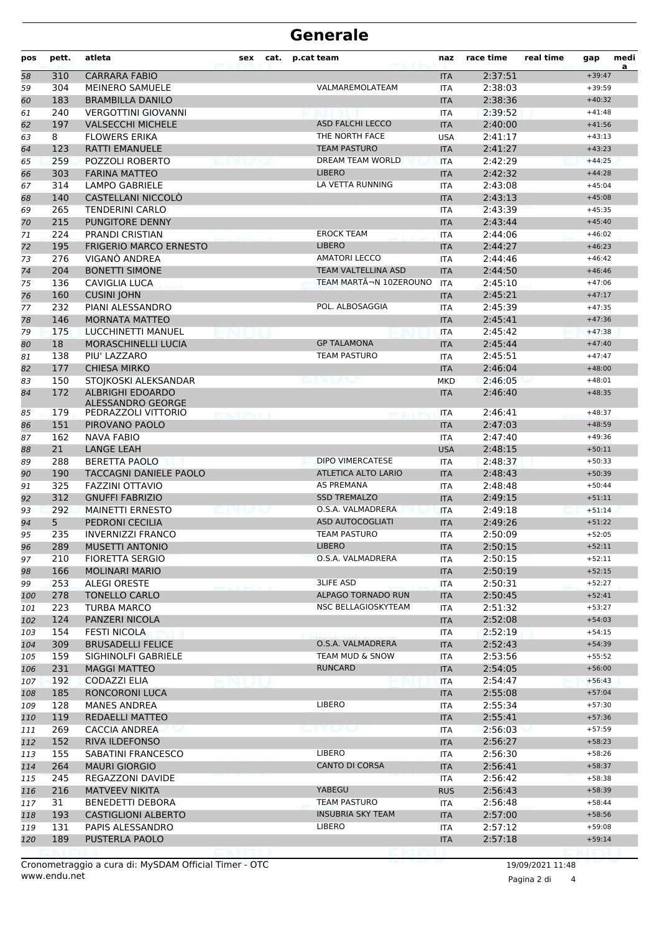## **Generale**

| pos | pett.      | atleta                                          | sex | cat. | p.cat team                 | naz                      | race time | real time | gap      | medi<br>a |
|-----|------------|-------------------------------------------------|-----|------|----------------------------|--------------------------|-----------|-----------|----------|-----------|
| 58  | 310        | <b>CARRARA FABIO</b>                            |     |      |                            | <b>ITA</b>               | 2:37:51   |           | $+39:47$ |           |
| 59  | 304        | <b>MEINERO SAMUELE</b>                          |     |      | VALMAREMOLATEAM            | <b>ITA</b>               | 2:38:03   |           | $+39:59$ |           |
| 60  | 183        | <b>BRAMBILLA DANILO</b>                         |     |      |                            | <b>ITA</b>               | 2:38:36   |           | $+40:32$ |           |
| 61  | 240        | <b>VERGOTTINI GIOVANNI</b>                      |     |      |                            | <b>ITA</b>               | 2:39:52   |           | $+41:48$ |           |
| 62  | 197        | <b>VALSECCHI MICHELE</b>                        |     |      | <b>ASD FALCHI LECCO</b>    | <b>ITA</b>               | 2:40:00   |           | $+41:56$ |           |
| 63  | 8          | <b>FLOWERS ERIKA</b>                            |     |      | THE NORTH FACE             | <b>USA</b>               | 2:41:17   |           | $+43:13$ |           |
| 64  | 123        | <b>RATTI EMANUELE</b>                           |     |      | <b>TEAM PASTURO</b>        | <b>ITA</b>               | 2:41:27   |           | $+43:23$ |           |
| 65  | 259        | POZZOLI ROBERTO                                 |     |      | <b>DREAM TEAM WORLD</b>    | <b>ITA</b>               | 2:42:29   |           | $+44:25$ |           |
| 66  | 303        | <b>FARINA MATTEO</b>                            |     |      | <b>LIBERO</b>              | <b>ITA</b>               | 2:42:32   |           | $+44:28$ |           |
| 67  | 314        | <b>LAMPO GABRIELE</b>                           |     |      | LA VETTA RUNNING           | <b>ITA</b>               | 2:43:08   |           | $+45:04$ |           |
| 68  | 140        | CASTELLANI NICCOLÒ                              |     |      |                            | <b>ITA</b>               | 2:43:13   |           | $+45:08$ |           |
| 69  | 265        | <b>TENDERINI CARLO</b>                          |     |      |                            | <b>ITA</b>               | 2:43:39   |           | $+45:35$ |           |
| 70  | 215        | <b>PUNGITORE DENNY</b>                          |     |      |                            | <b>ITA</b>               | 2:43:44   |           | $+45:40$ |           |
| 71  | 224        | PRANDI CRISTIAN                                 |     |      | <b>EROCK TEAM</b>          | <b>ITA</b>               | 2:44:06   |           | $+46:02$ |           |
| 72  | 195        | <b>FRIGERIO MARCO ERNESTO</b>                   |     |      | <b>LIBERO</b>              | <b>ITA</b>               | 2:44:27   |           | $+46:23$ |           |
| 73  | 276        | VIGANÓ ANDREA                                   |     |      | <b>AMATORI LECCO</b>       | <b>ITA</b>               | 2:44:46   |           | $+46:42$ |           |
| 74  | 204        | <b>BONETTI SIMONE</b>                           |     |      | <b>TEAM VALTELLINA ASD</b> | <b>ITA</b>               | 2:44:50   |           | $+46:46$ |           |
| 75  | 136        | CAVIGLIA LUCA                                   |     |      | TEAM MARTÃ-N 10ZEROUNO     | <b>ITA</b>               | 2:45:10   |           | $+47:06$ |           |
| 76  | 160        | <b>CUSINI JOHN</b>                              |     |      |                            | <b>ITA</b>               | 2:45:21   |           | $+47:17$ |           |
| 77  | 232        | PIANI ALESSANDRO                                |     |      | POL. ALBOSAGGIA            | <b>ITA</b>               | 2:45:39   |           | $+47:35$ |           |
| 78  | 146        | <b>MORNATA MATTEO</b>                           |     |      |                            | <b>ITA</b>               | 2:45:41   |           | $+47:36$ |           |
| 79  | 175        | LUCCHINETTI MANUEL                              |     |      |                            | <b>ITA</b>               | 2:45:42   |           | $+47:38$ |           |
| 80  | 18         | MORASCHINELLI LUCIA                             |     |      | <b>GP TALAMONA</b>         | <b>ITA</b>               | 2:45:44   |           | $+47:40$ |           |
| 81  | 138        | PIU' LAZZARO                                    |     |      | <b>TEAM PASTURO</b>        | <b>ITA</b>               | 2:45:51   |           | $+47:47$ |           |
| 82  | 177        | <b>CHIESA MIRKO</b>                             |     |      |                            | <b>ITA</b>               | 2:46:04   |           | $+48:00$ |           |
| 83  | 150        | STOJKOSKI ALEKSANDAR                            |     |      |                            | <b>MKD</b>               | 2:46:05   |           | $+48:01$ |           |
| 84  | 172        | <b>ALBRIGHI EDOARDO</b>                         |     |      |                            | <b>ITA</b>               | 2:46:40   |           | $+48:35$ |           |
| 85  | 179        | ALESSANDRO GEORGE<br>PEDRAZZOLI VITTORIO        |     |      |                            | <b>ITA</b>               | 2:46:41   |           | $+48:37$ |           |
| 86  | 151        | PIROVANO PAOLO                                  |     |      |                            | <b>ITA</b>               | 2:47:03   |           | $+48:59$ |           |
| 87  | 162        | <b>NAVA FABIO</b>                               |     |      |                            | ITA                      | 2:47:40   |           | $+49:36$ |           |
| 88  | 21         | <b>LANGE LEAH</b>                               |     |      |                            | <b>USA</b>               | 2:48:15   |           | $+50:11$ |           |
| 89  | 288        | <b>BERETTA PAOLO</b>                            |     |      | <b>DIPO VIMERCATESE</b>    | <b>ITA</b>               | 2:48:37   |           | $+50:33$ |           |
| 90  | 190        | TACCAGNI DANIELE PAOLO                          |     |      | <b>ATLETICA ALTO LARIO</b> | <b>ITA</b>               | 2:48:43   |           | $+50:39$ |           |
| 91  | 325        | <b>FAZZINI OTTAVIO</b>                          |     |      | <b>AS PREMANA</b>          | <b>ITA</b>               | 2:48:48   |           | $+50:44$ |           |
| 92  | 312        | <b>GNUFFI FABRIZIO</b>                          |     |      | <b>SSD TREMALZO</b>        | <b>ITA</b>               | 2:49:15   |           | $+51:11$ |           |
| 93  | 292        | <b>MAINETTI ERNESTO</b>                         |     |      | O.S.A. VALMADRERA          | <b>ITA</b>               | 2:49:18   |           | $+51:14$ |           |
| 94  | 5          | PEDRONI CECILIA                                 |     |      | <b>ASD AUTOCOGLIATI</b>    | <b>ITA</b>               | 2:49:26   |           | $+51:22$ |           |
| 95  | 235        | <b>INVERNIZZI FRANCO</b>                        |     |      | <b>TEAM PASTURO</b>        | <b>ITA</b>               | 2:50:09   |           | $+52:05$ |           |
|     | 289        | MUSETTI ANTONIO                                 |     |      | <b>LIBERO</b>              |                          | 2:50:15   |           | $+52:11$ |           |
| 96  | 210        | <b>FIORETTA SERGIO</b>                          |     |      | O.S.A. VALMADRERA          | ITA.                     | 2:50:15   |           | $+52:11$ |           |
| 97  | 166        | <b>MOLINARI MARIO</b>                           |     |      |                            | ITA                      | 2:50:19   |           | $+52:15$ |           |
| 98  | 253        | <b>ALEGI ORESTE</b>                             |     |      | <b>3LIFE ASD</b>           | <b>ITA</b><br>ITA        | 2:50:31   |           | $+52:27$ |           |
| 99  |            |                                                 |     |      | ALPAGO TORNADO RUN         |                          | 2:50:45   |           | $+52:41$ |           |
| 100 | 278<br>223 | <b>TONELLO CARLO</b><br><b>TURBA MARCO</b>      |     |      | NSC BELLAGIOSKYTEAM        | <b>ITA</b><br><b>ITA</b> | 2:51:32   |           | $+53:27$ |           |
| 101 | 124        | PANZERI NICOLA                                  |     |      |                            |                          |           |           | $+54:03$ |           |
| 102 | 154        |                                                 |     |      |                            | <b>ITA</b>               | 2:52:08   |           | $+54:15$ |           |
| 103 |            | <b>FESTI NICOLA</b><br><b>BRUSADELLI FELICE</b> |     |      | O.S.A. VALMADRERA          | <b>ITA</b>               | 2:52:19   |           |          |           |
| 104 | 309        |                                                 |     |      | <b>TEAM MUD &amp; SNOW</b> | <b>ITA</b>               | 2:52:43   |           | $+54:39$ |           |
| 105 | 159        | SIGHINOLFI GABRIELE                             |     |      |                            | ITA                      | 2:53:56   |           | $+55:52$ |           |
| 106 | 231        | <b>MAGGI MATTEO</b>                             |     |      | <b>RUNCARD</b>             | <b>ITA</b>               | 2:54:05   |           | $+56:00$ |           |
| 107 | 192        | CODAZZI ELIA                                    |     |      |                            | ITA                      | 2:54:47   |           | $+56:43$ |           |
| 108 | 185        | RONCORONI LUCA                                  |     |      |                            | <b>ITA</b>               | 2:55:08   |           | $+57:04$ |           |
| 109 | 128        | <b>MANES ANDREA</b>                             |     |      | LIBERO                     | ITA                      | 2:55:34   |           | $+57:30$ |           |
| 110 | 119        | REDAELLI MATTEO                                 |     |      |                            | <b>ITA</b>               | 2:55:41   |           | $+57:36$ |           |
| 111 | 269        | CACCIA ANDREA                                   |     |      | 13. U V                    | ITA                      | 2:56:03   |           | $+57:59$ |           |
| 112 | 152        | RIVA ILDEFONSO                                  |     |      |                            | <b>ITA</b>               | 2:56:27   |           | $+58:23$ |           |
| 113 | 155        | SABATINI FRANCESCO                              |     |      | LIBERO                     | ITA                      | 2:56:30   |           | $+58:26$ |           |
| 114 | 264        | <b>MAURI GIORGIO</b>                            |     |      | <b>CANTO DI CORSA</b>      | <b>ITA</b>               | 2:56:41   |           | $+58:37$ |           |
| 115 | 245        | REGAZZONI DAVIDE                                |     |      |                            | <b>ITA</b>               | 2:56:42   |           | $+58:38$ |           |
| 116 | 216        | <b>MATVEEV NIKITA</b>                           |     |      | YABEGU                     | <b>RUS</b>               | 2:56:43   |           | $+58:39$ |           |
| 117 | 31         | <b>BENEDETTI DEBORA</b>                         |     |      | <b>TEAM PASTURO</b>        | ITA                      | 2:56:48   |           | $+58:44$ |           |
| 118 | 193        | <b>CASTIGLIONI ALBERTO</b>                      |     |      | <b>INSUBRIA SKY TEAM</b>   | <b>ITA</b>               | 2:57:00   |           | $+58:56$ |           |
| 119 | 131        | PAPIS ALESSANDRO                                |     |      | LIBERO                     | <b>ITA</b>               | 2:57:12   |           | $+59:08$ |           |
| 120 | 189        | PUSTERLA PAOLO                                  |     |      |                            | <b>ITA</b>               | 2:57:18   |           | $+59:14$ |           |
|     |            |                                                 |     |      |                            |                          |           |           |          |           |

Pagina 2 di 4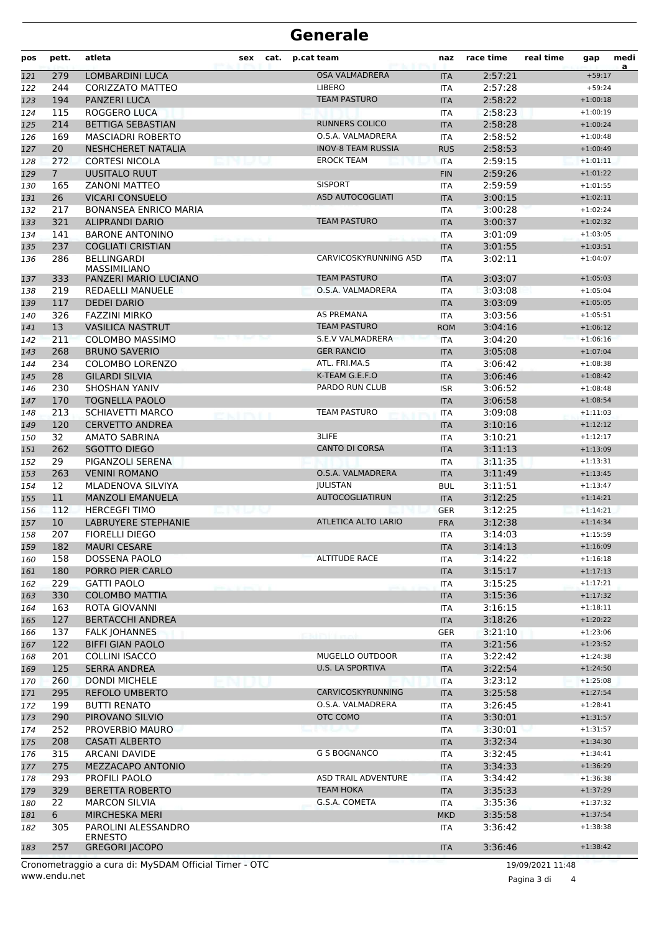## **Generale**

| pos        | pett.              | atleta                                                                 | sex | cat. | p.cat team                                   | naz                      | race time          | real time | gap                      | medi<br>a |
|------------|--------------------|------------------------------------------------------------------------|-----|------|----------------------------------------------|--------------------------|--------------------|-----------|--------------------------|-----------|
| 121        | 279                | <b>LOMBARDINI LUCA</b>                                                 |     |      | <b>OSA VALMADRERA</b>                        | <b>ITA</b>               | 2:57:21            |           | $+59:17$                 |           |
| 122        | 244                | CORIZZATO MATTEO                                                       |     |      | <b>LIBERO</b>                                | <b>ITA</b>               | 2:57:28            |           | $+59:24$                 |           |
| 123        | 194                | PANZERI LUCA                                                           |     |      | <b>TEAM PASTURO</b>                          | <b>ITA</b>               | 2:58:22            |           | $+1:00:18$               |           |
| 124        | 115                | ROGGERO LUCA                                                           |     |      |                                              | <b>ITA</b>               | 2:58:23            |           | $+1:00:19$               |           |
| 125        | 214                | <b>BETTIGA SEBASTIAN</b>                                               |     |      | <b>RUNNERS COLICO</b>                        | <b>ITA</b>               | 2:58:28            |           | $+1:00:24$               |           |
| 126        | 169                | <b>MASCIADRI ROBERTO</b>                                               |     |      | O.S.A. VALMADRERA                            | <b>ITA</b>               | 2:58:52            |           | $+1:00:48$               |           |
| 127        | 20                 | <b>NESHCHERET NATALIA</b>                                              |     |      | <b>INOV-8 TEAM RUSSIA</b>                    | <b>RUS</b>               | 2:58:53            |           | $+1:00:49$               |           |
| 128        | 272<br>$7^{\circ}$ | <b>CORTESI NICOLA</b>                                                  |     |      | <b>EROCK TEAM</b>                            | <b>ITA</b>               | 2:59:15            |           | $+1:01:11$               |           |
| 129        | 165                | UUSITALO RUUT<br><b>ZANONI MATTEO</b>                                  |     |      | <b>SISPORT</b>                               | <b>FIN</b><br><b>ITA</b> | 2:59:26<br>2:59:59 |           | $+1:01:22$<br>$+1:01:55$ |           |
| 130<br>131 | 26                 | <b>VICARI CONSUELO</b>                                                 |     |      | <b>ASD AUTOCOGLIATI</b>                      | <b>ITA</b>               | 3:00:15            |           | $+1:02:11$               |           |
| 132        | 217                | <b>BONANSEA ENRICO MARIA</b>                                           |     |      |                                              | <b>ITA</b>               | 3:00:28            |           | $+1:02:24$               |           |
| 133        | 321                | <b>ALIPRANDI DARIO</b>                                                 |     |      | <b>TEAM PASTURO</b>                          | <b>ITA</b>               | 3:00:37            |           | $+1:02:32$               |           |
| 134        | 141                | <b>BARONE ANTONINO</b>                                                 |     |      |                                              | <b>ITA</b>               | 3:01:09            |           | $+1:03:05$               |           |
| 135        | 237                | <b>COGLIATI CRISTIAN</b>                                               |     |      |                                              | <b>ITA</b>               | 3:01:55            |           | $+1:03:51$               |           |
| 136        | 286                | BELLINGARDI                                                            |     |      | CARVICOSKYRUNNING ASD                        | <b>ITA</b>               | 3:02:11            |           | $+1:04:07$               |           |
|            |                    | MASSIMILIANO                                                           |     |      |                                              |                          |                    |           |                          |           |
| 137        | 333                | PANZERI MARIO LUCIANO                                                  |     |      | <b>TEAM PASTURO</b>                          | <b>ITA</b>               | 3:03:07            |           | $+1:05:03$               |           |
| 138        | 219                | REDAELLI MANUELE                                                       |     |      | O.S.A. VALMADRERA                            | <b>ITA</b>               | 3:03:08            |           | $+1:05:04$               |           |
| 139        | 117                | <b>DEDEI DARIO</b>                                                     |     |      |                                              | <b>ITA</b>               | 3:03:09            |           | $+1:05:05$               |           |
| 140        | 326                | <b>FAZZINI MIRKO</b>                                                   |     |      | <b>AS PREMANA</b>                            | ITA                      | 3:03:56            |           | $+1:05:51$               |           |
| 141        | 13                 | <b>VASILICA NASTRUT</b>                                                |     |      | <b>TEAM PASTURO</b>                          | <b>ROM</b>               | 3:04:16            |           | $+1:06:12$               |           |
| 142        | 211                | <b>COLOMBO MASSIMO</b>                                                 |     |      | <b>S.E.V VALMADRERA</b><br><b>GER RANCIO</b> | <b>ITA</b>               | 3:04:20            |           | $+1:06:16$               |           |
| 143        | 268                | <b>BRUNO SAVERIO</b><br>COLOMBO LORENZO                                |     |      |                                              | <b>ITA</b>               | 3:05:08            |           | $+1:07:04$               |           |
| 144        | 234                |                                                                        |     |      | ATL. FRI.MA.S<br>K-TEAM G.E.F.O              | <b>ITA</b>               | 3:06:42            |           | $+1:08:38$               |           |
| 145        | 28<br>230          | <b>GILARDI SILVIA</b><br><b>SHOSHAN YANIV</b>                          |     |      | PARDO RUN CLUB                               | <b>ITA</b>               | 3:06:46            |           | $+1:08:42$<br>$+1:08:48$ |           |
| 146<br>147 | 170                | TOGNELLA PAOLO                                                         |     |      |                                              | <b>ISR</b><br><b>ITA</b> | 3:06:52<br>3:06:58 |           | $+1:08:54$               |           |
| 148        | 213                | <b>SCHIAVETTI MARCO</b>                                                |     |      | <b>TEAM PASTURO</b>                          | <b>ITA</b>               | 3:09:08            |           | $+1:11:03$               |           |
| 149        | 120                | <b>CERVETTO ANDREA</b>                                                 |     |      |                                              | <b>ITA</b>               | 3:10:16            |           | $+1:12:12$               |           |
| 150        | 32                 | <b>AMATO SABRINA</b>                                                   |     |      | 3LIFE                                        | <b>ITA</b>               | 3:10:21            |           | $+1:12:17$               |           |
| 151        | 262                | SGOTTO DIEGO                                                           |     |      | <b>CANTO DI CORSA</b>                        | <b>ITA</b>               | 3:11:13            |           | $+1:13:09$               |           |
| 152        | 29                 | PIGANZOLI SERENA                                                       |     |      |                                              | <b>ITA</b>               | 3:11:35            |           | $+1:13:31$               |           |
| 153        | 263                | <b>VENINI ROMANO</b>                                                   |     |      | O.S.A. VALMADRERA                            | <b>ITA</b>               | 3:11:49            |           | $+1:13:45$               |           |
| 154        | 12                 | MLADENOVA SILVIYA                                                      |     |      | <b>JULISTAN</b>                              | <b>BUL</b>               | 3:11:51            |           | $+1:13:47$               |           |
| 155        | 11                 | <b>MANZOLI EMANUELA</b>                                                |     |      | <b>AUTOCOGLIATIRUN</b>                       | <b>ITA</b>               | 3:12:25            |           | $+1:14:21$               |           |
| 156        | 112                | <b>HERCEGFI TIMO</b>                                                   |     |      |                                              | <b>GER</b>               | 3:12:25            |           | $+1:14:21$               |           |
| 157        | 10                 | <b>LABRUYERE STEPHANIE</b>                                             |     |      | ATLETICA ALTO LARIO                          | <b>FRA</b>               | 3:12:38            |           | $+1:14:34$               |           |
| 158        | 207                | <b>FIORELLI DIEGO</b>                                                  |     |      |                                              | <b>ITA</b>               | 3:14:03            |           | $+1:15:59$               |           |
| 159        | 182                | <b>MAURI CESARE</b>                                                    |     |      |                                              | <b>ITA</b>               | 3:14:13            |           | $+1:16:09$               |           |
| 160        | 158                | DOSSENA PAOLO                                                          |     |      | <b>ALTITUDE RACE</b>                         | ITA                      | 3:14:22            |           | $+1:16:18$               |           |
| 161        | 180                | PORRO PIER CARLO                                                       |     |      |                                              | <b>ITA</b>               | 3:15:17            |           | $+1:17:13$               |           |
| 162        | 229                | GATTI PAOLO                                                            |     |      |                                              | ITA                      | 3:15:25            |           | $+1:17:21$               |           |
| 163        | 330                | <b>COLOMBO MATTIA</b>                                                  |     |      |                                              | <b>ITA</b>               | 3:15:36            |           | $+1:17:32$               |           |
| 164        | 163                | ROTA GIOVANNI                                                          |     |      |                                              | ITA                      | 3:16:15            |           | $+1:18:11$               |           |
| 165        | 127                | <b>BERTACCHI ANDREA</b>                                                |     |      |                                              | <b>ITA</b>               | 3:18:26            |           | $+1:20:22$               |           |
| 166        | 137                | <b>FALK JOHANNES</b>                                                   |     |      |                                              | <b>GER</b>               | 3:21:10            |           | $+1:23:06$               |           |
| 167        | 122                | <b>BIFFI GIAN PAOLO</b>                                                |     |      | MUGELLO OUTDOOR                              | <b>ITA</b>               | 3:21:56            |           | $+1:23:52$               |           |
| 168        | 201                | <b>COLLINI ISACCO</b><br><b>SERRA ANDREA</b>                           |     |      | <b>U.S. LA SPORTIVA</b>                      | ITA                      | 3:22:42            |           | $+1:24:38$<br>$+1:24:50$ |           |
| 169<br>170 | 125<br>260         | <b>DONDI MICHELE</b>                                                   |     |      |                                              | <b>ITA</b><br>ITA        | 3:22:54<br>3:23:12 |           | $+1:25:08$               |           |
| 171        | 295                | REFOLO UMBERTO                                                         |     |      | CARVICOSKYRUNNING                            | <b>ITA</b>               | 3:25:58            |           | $+1:27:54$               |           |
| 172        | 199                | <b>BUTTI RENATO</b>                                                    |     |      | O.S.A. VALMADRERA                            | ITA                      | 3:26:45            |           | $+1:28:41$               |           |
| 173        | 290                | PIROVANO SILVIO                                                        |     |      | OTC COMO                                     | <b>ITA</b>               | 3:30:01            |           | $+1:31:57$               |           |
| 174        | 252                | PROVERBIO MAURO                                                        |     |      |                                              | ITA                      | 3:30:01            |           | $+1:31:57$               |           |
| 175        | 208                | <b>CASATI ALBERTO</b>                                                  |     |      |                                              | <b>ITA</b>               | 3:32:34            |           | $+1:34:30$               |           |
| 176        | 315                | ARCANI DAVIDE                                                          |     |      | <b>G S BOGNANCO</b>                          | ITA                      | 3:32:45            |           | $+1:34:41$               |           |
| 177        | 275                | MEZZACAPO ANTONIO                                                      |     |      |                                              | <b>ITA</b>               | 3:34:33            |           | $+1:36:29$               |           |
| 178        | 293                | PROFILI PAOLO                                                          |     |      | ASD TRAIL ADVENTURE                          | ITA                      | 3:34:42            |           | $+1:36:38$               |           |
| 179        | 329                | <b>BERETTA ROBERTO</b>                                                 |     |      | <b>TEAM HOKA</b>                             | <b>ITA</b>               | 3:35:33            |           | $+1:37:29$               |           |
| 180        | 22                 | <b>MARCON SILVIA</b>                                                   |     |      | G.S.A. COMETA                                | ITA                      | 3:35:36            |           | $+1:37:32$               |           |
| 181        | 6                  | <b>MIRCHESKA MERI</b>                                                  |     |      |                                              | <b>MKD</b>               | 3:35:58            |           | $+1:37:54$               |           |
| 182        | 305                | PAROLINI ALESSANDRO                                                    |     |      |                                              | ITA                      | 3:36:42            |           | $+1:38:38$               |           |
|            |                    | ERNESTO                                                                |     |      |                                              |                          |                    |           |                          |           |
| 183        | 257                | <b>GREGORI JACOPO</b><br>$\sim$ augusti, M.C.D.AM Official Timess, OTC |     |      |                                              | <b>ITA</b>               | 3:36:46            |           | $+1:38:42$               |           |

www.endu.net Cronometraggio a cura di: MySDAM Official Timer - OTC 19/09/2021 11:48

Pagina 3 di 4